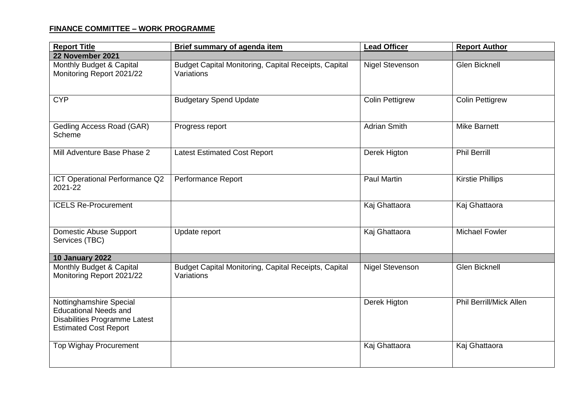## **FINANCE COMMITTEE – WORK PROGRAMME**

| <b>Report Title</b>                                                                                                      | Brief summary of agenda item                                       | <b>Lead Officer</b>    | <b>Report Author</b>           |
|--------------------------------------------------------------------------------------------------------------------------|--------------------------------------------------------------------|------------------------|--------------------------------|
| 22 November 2021                                                                                                         |                                                                    |                        |                                |
| Monthly Budget & Capital<br>Monitoring Report 2021/22                                                                    | Budget Capital Monitoring, Capital Receipts, Capital<br>Variations | <b>Nigel Stevenson</b> | <b>Glen Bicknell</b>           |
| <b>CYP</b>                                                                                                               | <b>Budgetary Spend Update</b>                                      | <b>Colin Pettigrew</b> | <b>Colin Pettigrew</b>         |
| Gedling Access Road (GAR)<br>Scheme                                                                                      | Progress report                                                    | <b>Adrian Smith</b>    | <b>Mike Barnett</b>            |
| Mill Adventure Base Phase 2                                                                                              | <b>Latest Estimated Cost Report</b>                                | Derek Higton           | <b>Phil Berrill</b>            |
| ICT Operational Performance Q2<br>2021-22                                                                                | <b>Performance Report</b>                                          | <b>Paul Martin</b>     | <b>Kirstie Phillips</b>        |
| <b>ICELS Re-Procurement</b>                                                                                              |                                                                    | Kaj Ghattaora          | Kaj Ghattaora                  |
| <b>Domestic Abuse Support</b><br>Services (TBC)                                                                          | Update report                                                      | Kaj Ghattaora          | <b>Michael Fowler</b>          |
| 10 January 2022                                                                                                          |                                                                    |                        |                                |
| Monthly Budget & Capital<br>Monitoring Report 2021/22                                                                    | Budget Capital Monitoring, Capital Receipts, Capital<br>Variations | <b>Nigel Stevenson</b> | <b>Glen Bicknell</b>           |
| Nottinghamshire Special<br><b>Educational Needs and</b><br>Disabilities Programme Latest<br><b>Estimated Cost Report</b> |                                                                    | Derek Higton           | <b>Phil Berrill/Mick Allen</b> |
| <b>Top Wighay Procurement</b>                                                                                            |                                                                    | Kaj Ghattaora          | Kaj Ghattaora                  |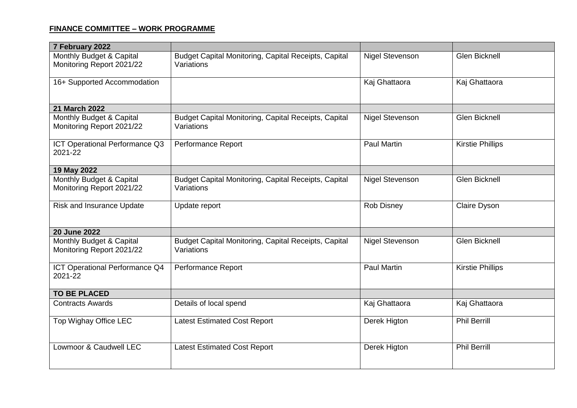## **FINANCE COMMITTEE – WORK PROGRAMME**

| 7 February 2022                                       |                                                                    |                        |                         |
|-------------------------------------------------------|--------------------------------------------------------------------|------------------------|-------------------------|
| Monthly Budget & Capital<br>Monitoring Report 2021/22 | Budget Capital Monitoring, Capital Receipts, Capital<br>Variations | <b>Nigel Stevenson</b> | <b>Glen Bicknell</b>    |
| 16+ Supported Accommodation                           |                                                                    | Kaj Ghattaora          | Kaj Ghattaora           |
| 21 March 2022                                         |                                                                    |                        |                         |
| Monthly Budget & Capital<br>Monitoring Report 2021/22 | Budget Capital Monitoring, Capital Receipts, Capital<br>Variations | <b>Nigel Stevenson</b> | <b>Glen Bicknell</b>    |
| ICT Operational Performance Q3<br>2021-22             | Performance Report                                                 | <b>Paul Martin</b>     | <b>Kirstie Phillips</b> |
| 19 May 2022                                           |                                                                    |                        |                         |
| Monthly Budget & Capital<br>Monitoring Report 2021/22 | Budget Capital Monitoring, Capital Receipts, Capital<br>Variations | <b>Nigel Stevenson</b> | <b>Glen Bicknell</b>    |
| <b>Risk and Insurance Update</b>                      | Update report                                                      | <b>Rob Disney</b>      | <b>Claire Dyson</b>     |
| <b>20 June 2022</b>                                   |                                                                    |                        |                         |
| Monthly Budget & Capital<br>Monitoring Report 2021/22 | Budget Capital Monitoring, Capital Receipts, Capital<br>Variations | <b>Nigel Stevenson</b> | <b>Glen Bicknell</b>    |
| ICT Operational Performance Q4<br>2021-22             | Performance Report                                                 | <b>Paul Martin</b>     | <b>Kirstie Phillips</b> |
| <b>TO BE PLACED</b>                                   |                                                                    |                        |                         |
| <b>Contracts Awards</b>                               | Details of local spend                                             | Kaj Ghattaora          | Kaj Ghattaora           |
| Top Wighay Office LEC                                 | <b>Latest Estimated Cost Report</b>                                | Derek Higton           | <b>Phil Berrill</b>     |
| Lowmoor & Caudwell LEC                                | <b>Latest Estimated Cost Report</b>                                | Derek Higton           | <b>Phil Berrill</b>     |